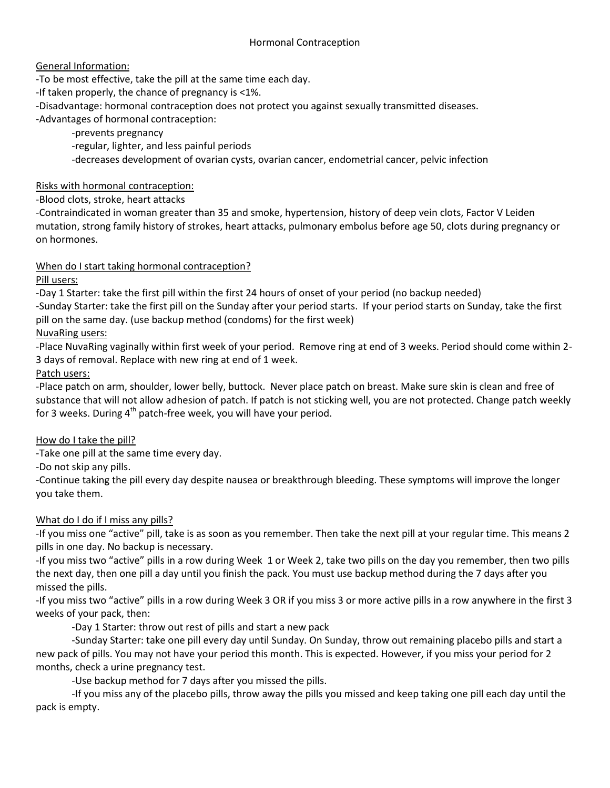# General Information:

-To be most effective, take the pill at the same time each day.

-If taken properly, the chance of pregnancy is <1%.

-Disadvantage: hormonal contraception does not protect you against sexually transmitted diseases.

-Advantages of hormonal contraception:

-prevents pregnancy

-regular, lighter, and less painful periods

-decreases development of ovarian cysts, ovarian cancer, endometrial cancer, pelvic infection

# Risks with hormonal contraception:

-Blood clots, stroke, heart attacks

-Contraindicated in woman greater than 35 and smoke, hypertension, history of deep vein clots, Factor V Leiden mutation, strong family history of strokes, heart attacks, pulmonary embolus before age 50, clots during pregnancy or on hormones.

# When do I start taking hormonal contraception?

# Pill users:

-Day 1 Starter: take the first pill within the first 24 hours of onset of your period (no backup needed)

-Sunday Starter: take the first pill on the Sunday after your period starts. If your period starts on Sunday, take the first pill on the same day. (use backup method (condoms) for the first week)

# NuvaRing users:

-Place NuvaRing vaginally within first week of your period. Remove ring at end of 3 weeks. Period should come within 2- 3 days of removal. Replace with new ring at end of 1 week.

# Patch users:

-Place patch on arm, shoulder, lower belly, buttock. Never place patch on breast. Make sure skin is clean and free of substance that will not allow adhesion of patch. If patch is not sticking well, you are not protected. Change patch weekly for 3 weeks. During  $4<sup>th</sup>$  patch-free week, you will have your period.

# How do I take the pill?

-Take one pill at the same time every day.

-Do not skip any pills.

-Continue taking the pill every day despite nausea or breakthrough bleeding. These symptoms will improve the longer you take them.

# What do I do if I miss any pills?

-If you miss one "active" pill, take is as soon as you remember. Then take the next pill at your regular time. This means 2 pills in one day. No backup is necessary.

-If you miss two "active" pills in a row during Week 1 or Week 2, take two pills on the day you remember, then two pills the next day, then one pill a day until you finish the pack. You must use backup method during the 7 days after you missed the pills.

-If you miss two "active" pills in a row during Week 3 OR if you miss 3 or more active pills in a row anywhere in the first 3 weeks of your pack, then:

-Day 1 Starter: throw out rest of pills and start a new pack

-Sunday Starter: take one pill every day until Sunday. On Sunday, throw out remaining placebo pills and start a new pack of pills. You may not have your period this month. This is expected. However, if you miss your period for 2 months, check a urine pregnancy test.

-Use backup method for 7 days after you missed the pills.

-If you miss any of the placebo pills, throw away the pills you missed and keep taking one pill each day until the pack is empty.